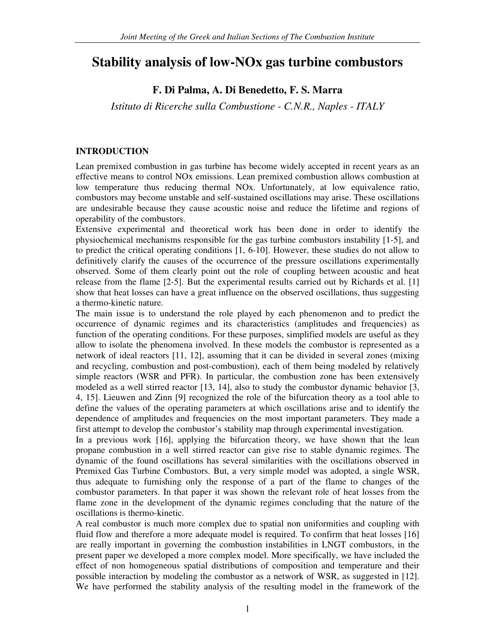# **Stability analysis of low-NOx gas turbine combustors**

# **F. Di Palma, A. Di Benedetto, F. S. Marra**

*Istituto di Ricerche sulla Combustione - C.N.R., Naples - ITALY*

## **INTRODUCTION**

Lean premixed combustion in gas turbine has become widely accepted in recent years as an effective means to control NOx emissions. Lean premixed combustion allows combustion at low temperature thus reducing thermal NOx. Unfortunately, at low equivalence ratio, combustors may become unstable and self-sustained oscillations may arise. These oscillations are undesirable because they cause acoustic noise and reduce the lifetime and regions of operability of the combustors.

Extensive experimental and theoretical work has been done in order to identify the physiochemical mechanisms responsible for the gas turbine combustors instability [1-5], and to predict the critical operating conditions [1, 6-10]. However, these studies do not allow to definitively clarify the causes of the occurrence of the pressure oscillations experimentally observed. Some of them clearly point out the role of coupling between acoustic and heat release from the flame [2-5]. But the experimental results carried out by Richards et al. [1] show that heat losses can have a great influence on the observed oscillations, thus suggesting a thermo-kinetic nature.

The main issue is to understand the role played by each phenomenon and to predict the occurrence of dynamic regimes and its characteristics (amplitudes and frequencies) as function of the operating conditions. For these purposes, simplified models are useful as they allow to isolate the phenomena involved. In these models the combustor is represented as a network of ideal reactors [11, 12], assuming that it can be divided in several zones (mixing and recycling, combustion and post-combustion), each of them being modeled by relatively simple reactors (WSR and PFR). In particular, the combustion zone has been extensively modeled as a well stirred reactor [13, 14], also to study the combustor dynamic behavior [3, 4, 15]. Lieuwen and Zinn [9] recognized the role of the bifurcation theory as a tool able to define the values of the operating parameters at which oscillations arise and to identify the dependence of amplitudes and frequencies on the most important parameters. They made a first attempt to develop the combustor's stability map through experimental investigation.

In a previous work [16], applying the bifurcation theory, we have shown that the lean propane combustion in a well stirred reactor can give rise to stable dynamic regimes. The dynamic of the found oscillations has several similarities with the oscillations observed in Premixed Gas Turbine Combustors. But, a very simple model was adopted, a single WSR, thus adequate to furnishing only the response of a part of the flame to changes of the combustor parameters. In that paper it was shown the relevant role of heat losses from the flame zone in the development of the dynamic regimes concluding that the nature of the oscillations is thermo-kinetic.

A real combustor is much more complex due to spatial non uniformities and coupling with fluid flow and therefore a more adequate model is required. To confirm that heat losses [16] are really important in governing the combustion instabilities in LNGT combustors, in the present paper we developed a more complex model. More specifically, we have included the effect of non homogeneous spatial distributions of composition and temperature and their possible interaction by modeling the combustor as a network of WSR, as suggested in [12]. We have performed the stability analysis of the resulting model in the framework of the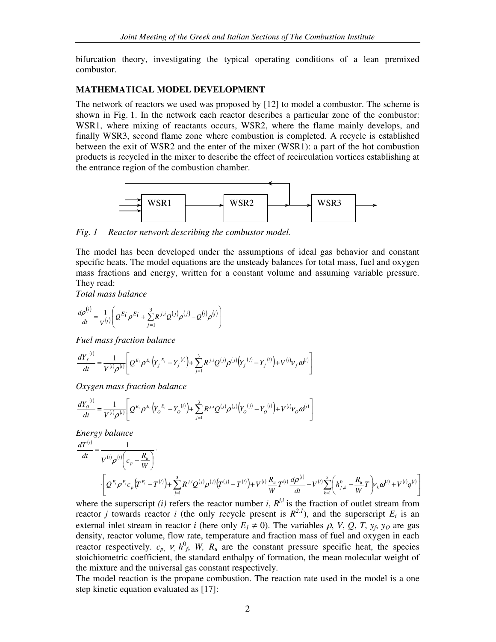bifurcation theory, investigating the typical operating conditions of a lean premixed combustor.

#### **MATHEMATICAL MODEL DEVELOPMENT**

The network of reactors we used was proposed by [12] to model a combustor. The scheme is shown in Fig. 1. In the network each reactor describes a particular zone of the combustor: WSR1, where mixing of reactants occurs, WSR2, where the flame mainly develops, and finally WSR3, second flame zone where combustion is completed. A recycle is established between the exit of WSR2 and the enter of the mixer (WSR1): a part of the hot combustion products is recycled in the mixer to describe the effect of recirculation vortices establishing at the entrance region of the combustion chamber.



*Fig. 1 Reactor network describing the combustor model.*

The model has been developed under the assumptions of ideal gas behavior and constant specific heats. The model equations are the unsteady balances for total mass, fuel and oxygen mass fractions and energy, written for a constant volume and assuming variable pressure. They read:

*Total mass balance*

$$
\frac{d\rho^{(i)}}{dt} = \frac{1}{V^{(i)}} \left( Q^{E_i} \rho^{E_i} + \sum_{j=1}^3 R^{j,i} Q^{(j)} \rho^{(j)} - Q^{(i)} \rho^{(i)} \right)
$$

*Fuel mass fraction balance*

$$
\frac{dY_f^{(i)}}{dt} = \frac{1}{V^{(i)}\rho^{(i)}} \left[ Q^{E_i} \rho^{E_i} \left( Y_f^{E_i} - Y_f^{(i)} \right) + \sum_{j=1}^3 R^{j,i} Q^{(j)} \rho^{(j)} \left( Y_f^{(j)} - Y_f^{(i)} \right) + V^{(i)} V_f \omega^{(i)} \right]
$$

*Oxygen mass fraction balance*

$$
\frac{dY_{O}^{(i)}}{dt} = \frac{1}{V^{(i)}\rho^{(i)}} \left[ Q^{E_i} \rho^{E_i} \left( Y_{O}^{E_i} - Y_{O}^{(i)} \right) + \sum_{j=1}^{3} R^{j,i} Q^{(j)} \rho^{(j)} \left( Y_{O}^{(j)} - Y_{O}^{(i)} \right) + V^{(i)} V_{O} \omega^{(i)} \right]
$$

*Energy balance*

$$
\frac{dT^{(i)}}{dt} = \frac{1}{V^{(i)}\rho^{(i)}\left(c_p - \frac{R_u}{W}\right)} \cdot \left[ Q^{E_i} \rho^{E_i} c_p \left(T^{E_i} - T^{(i)}\right) + \sum_{j=1}^3 R^{j,i} Q^{(j)} \rho^{(j)} \left(T^{(j)} - T^{(i)}\right) + V^{(i)} \frac{R_u}{W} T^{(i)} \frac{d\rho^{(i)}}{dt} - V^{(i)} \sum_{k=1}^5 \left( h_{j,k}^0 - \frac{R_u}{W} T \right) V_k \omega^{(i)} + V^{(i)} q^{(i)} \right]
$$

where the superscript *(i)* refers the reactor number *i*,  $R^{j,i}$  is the fraction of outlet stream from reactor *j* towards reactor *i* (the only recycle present is  $R^{2,1}$ ), and the superscript  $E_i$  is an external inlet stream in reactor *i* (here only  $E_1 \neq 0$ ). The variables  $\rho$ , *V*,  $Q$ , *T*,  $y_f$ ,  $y_o$  are gas density, reactor volume, flow rate, temperature and fraction mass of fuel and oxygen in each reactor respectively.  $c_p$ ,  $v$ ,  $h^0$ ,  $W$ ,  $R_u$  are the constant pressure specific heat, the species stoichiometric coefficient, the standard enthalpy of formation, the mean molecular weight of the mixture and the universal gas constant respectively.

The model reaction is the propane combustion. The reaction rate used in the model is a one step kinetic equation evaluated as [17]: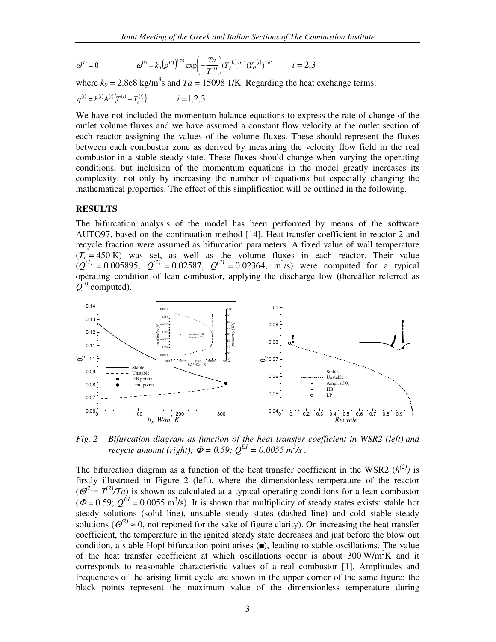$$
\omega^{(i)} = 0 \qquad \qquad \omega^{(i)} = k_0 \left( \rho^{(i)} \right)^{1.75} \exp \left( -\frac{T a}{T^{(i)}} \right) (Y_f^{(i)})^{0.1} (Y_o^{(i)})^{1.65} \qquad i = 2,3
$$

where  $k_0 = 2.8$ e8 kg/m<sup>3</sup>s and  $Ta = 15098$  1/K. Regarding the heat exchange terms:

$$
q^{(i)} = h^{(i)} A^{(i)} (T^{(i)} - T_c^{(i)}) \qquad i = 1, 2, 3
$$

We have not included the momentum balance equations to express the rate of change of the outlet volume fluxes and we have assumed a constant flow velocity at the outlet section of each reactor assigning the values of the volume fluxes. These should represent the fluxes between each combustor zone as derived by measuring the velocity flow field in the real combustor in a stable steady state. These fluxes should change when varying the operating conditions, but inclusion of the momentum equations in the model greatly increases its complexity, not only by increasing the number of equations but especially changing the mathematical properties. The effect of this simplification will be outlined in the following.

#### **RESULTS**

The bifurcation analysis of the model has been performed by means of the software AUTO97, based on the continuation method [14]. Heat transfer coefficient in reactor 2 and recycle fraction were assumed as bifurcation parameters. A fixed value of wall temperature  $(T_c = 450 \text{ K})$  was set, as well as the volume fluxes in each reactor. Their value  $(Q^{(1)} = 0.005895, Q^{(2)} = 0.02587, Q^{(3)} = 0.02364, m^{3}/s$  were computed for a typical operating condition of lean combustor, applying the discharge low (thereafter referred as  $Q^{(i)}$  computed).



*Fig. 2 Bifurcation diagram as function of the heat transfer coefficient in WSR2 (left),and recycle amount (right);*  $\Phi = 0.59$ ;  $Q^{EI} = 0.0055$   $m^3$ /s.

The bifurcation diagram as a function of the heat transfer coefficient in the WSR2  $(h^{(2)})$  is firstly illustrated in Figure 2 (left), where the dimensionless temperature of the reactor  $(\Theta^2) = T^{(2)}/T_a$ ) is shown as calculated at a typical operating conditions for a lean combustor  $(\Phi = 0.59; Q^{EI} = 0.0055 \text{ m}^3/\text{s})$ . It is shown that multiplicity of steady states exists: stable hot steady solutions (solid line), unstable steady states (dashed line) and cold stable steady solutions ( $\mathcal{O}^{(2)} \approx 0$ , not reported for the sake of figure clarity). On increasing the heat transfer coefficient, the temperature in the ignited steady state decreases and just before the blow out condition, a stable Hopf bifurcation point arises  $(\blacksquare)$ , leading to stable oscillations. The value of the heat transfer coefficient at which oscillations occur is about  $300 \text{ W/m}^2\text{K}$  and it corresponds to reasonable characteristic values of a real combustor [1]. Amplitudes and frequencies of the arising limit cycle are shown in the upper corner of the same figure: the black points represent the maximum value of the dimensionless temperature during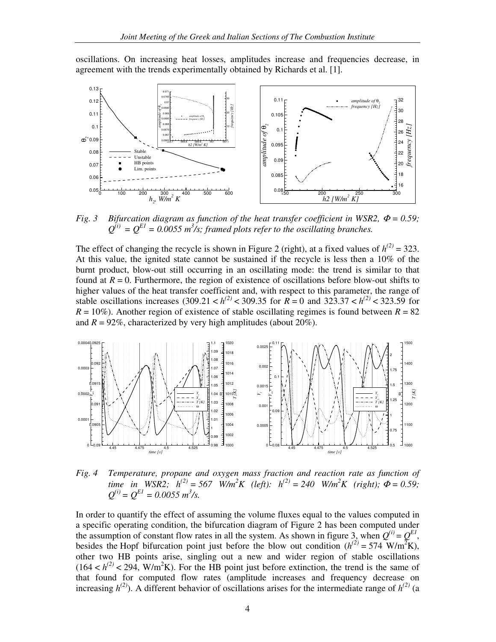oscillations. On increasing heat losses, amplitudes increase and frequencies decrease, in agreement with the trends experimentally obtained by Richards et al. [1].



*Fig.* 3 *Bifurcation diagram as function of the heat transfer coefficient in WSR2,*  $\Phi = 0.59$ *;*  $Q^{(i)} = Q^{EI} = 0.0055$  *m*<sup>3</sup>/s; framed plots refer to the oscillating branches.

The effect of changing the recycle is shown in Figure 2 (right), at a fixed values of  $h^{(2)} = 323$ . At this value, the ignited state cannot be sustained if the recycle is less then a 10% of the burnt product, blow-out still occurring in an oscillating mode: the trend is similar to that found at  $R = 0$ . Furthermore, the region of existence of oscillations before blow-out shifts to higher values of the heat transfer coefficient and, with respect to this parameter, the range of stable oscillations increases (309.21 <  $h^{(2)}$  < 309.35 for  $R = 0$  and 323.37 <  $h^{(2)}$  < 323.59 for  $R = 10\%$ ). Another region of existence of stable oscillating regimes is found between  $R = 82$ and  $R = 92\%$ , characterized by very high amplitudes (about 20%).



*Fig. 4 Temperature, propane and oxygen mass fraction and reaction rate as function of* time in WSR2;  $h^{(2)} = 567$  W/m<sup>2</sup>K (left):  $h^{(2)} = 240$  W/m<sup>2</sup>K (right);  $\Phi = 0.59$ ;  $Q^{(i)} = Q^{EI} = 0.0055 \, m^3/s.$ 

In order to quantify the effect of assuming the volume fluxes equal to the values computed in a specific operating condition, the bifurcation diagram of Figure 2 has been computed under the assumption of constant flow rates in all the system. As shown in figure 3, when  $Q^{(i)} = Q^{EI}$ , besides the Hopf bifurcation point just before the blow out condition  $(h^{(2)} = 574 \text{ W/m}^2\text{K})$ , other two HB points arise, singling out a new and wider region of stable oscillations  $(164 < h<sup>(2)</sup> < 294$ , W/m<sup>2</sup>K). For the HB point just before extinction, the trend is the same of that found for computed flow rates (amplitude increases and frequency decrease on increasing  $h^{(2)}$ ). A different behavior of oscillations arises for the intermediate range of  $h^{(2)}$  (a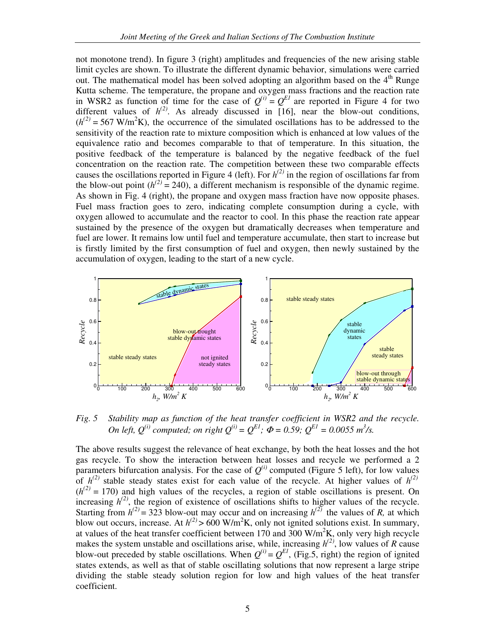not monotone trend). In figure 3 (right) amplitudes and frequencies of the new arising stable limit cycles are shown. To illustrate the different dynamic behavior, simulations were carried out. The mathematical model has been solved adopting an algorithm based on the 4<sup>th</sup> Runge Kutta scheme. The temperature, the propane and oxygen mass fractions and the reaction rate in WSR2 as function of time for the case of  $Q^{(i)} = Q^{EI}$  are reported in Figure 4 for two different values of  $h^{(2)}$ . As already discussed in [16], near the blow-out conditions,  $(h^{(2)} = 567 \text{ W/m}^2\text{K})$ , the occurrence of the simulated oscillations has to be addressed to the sensitivity of the reaction rate to mixture composition which is enhanced at low values of the equivalence ratio and becomes comparable to that of temperature. In this situation, the positive feedback of the temperature is balanced by the negative feedback of the fuel concentration on the reaction rate. The competition between these two comparable effects causes the oscillations reported in Figure 4 (left). For  $h^{(2)}$  in the region of oscillations far from the blow-out point  $(h^{(2)} = 240)$ , a different mechanism is responsible of the dynamic regime. As shown in Fig. 4 (right), the propane and oxygen mass fraction have now opposite phases. Fuel mass fraction goes to zero, indicating complete consumption during a cycle, with oxygen allowed to accumulate and the reactor to cool. In this phase the reaction rate appear sustained by the presence of the oxygen but dramatically decreases when temperature and fuel are lower. It remains low until fuel and temperature accumulate, then start to increase but is firstly limited by the first consumption of fuel and oxygen, then newly sustained by the accumulation of oxygen, leading to the start of a new cycle.



*Fig. 5 Stability map as function of the heat transfer coefficient in WSR2 and the recycle.* On left,  $Q^{(i)}$  computed; on right  $Q^{(i)} = Q^{EI}$ ;  $\Phi = 0.59$ ;  $Q^{EI} = 0.0055$  m<sup>3</sup>/s.

The above results suggest the relevance of heat exchange, by both the heat losses and the hot gas recycle. To show the interaction between heat losses and recycle we performed a 2 parameters bifurcation analysis. For the case of  $Q^{(i)}$  computed (Figure 5 left), for low values of  $h^{(2)}$  stable steady states exist for each value of the recycle. At higher values of  $h^{(2)}$  $(h^{(2)} = 170)$  and high values of the recycles, a region of stable oscillations is present. On increasing  $h^{(2)}$ , the region of existence of oscillations shifts to higher values of the recycle. Starting from  $h^{(2)} = 323$  blow-out may occur and on increasing  $h^{(2)}$  the values of *R*, at which blow out occurs, increase. At  $h^{(2)} > 600$  W/m<sup>2</sup>K, only not ignited solutions exist. In summary, at values of the heat transfer coefficient between 170 and 300  $W/m^2K$ , only very high recycle makes the system unstable and oscillations arise, while, increasing  $h^{(2)}$ , low values of *R* cause blow-out preceded by stable oscillations. When  $Q^{(i)} = Q^{EI}$ , (Fig.5, right) the region of ignited states extends, as well as that of stable oscillating solutions that now represent a large stripe dividing the stable steady solution region for low and high values of the heat transfer coefficient.